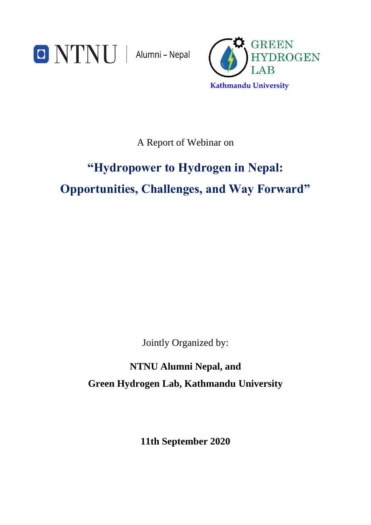



A Report of Webinar on

# **"Hydropower to Hydrogen in Nepal: Opportunities, Challenges, and Way Forward"**

Jointly Organized by:

**NTNU Alumni Nepal, and Green Hydrogen Lab, Kathmandu University**

**11th September 2020**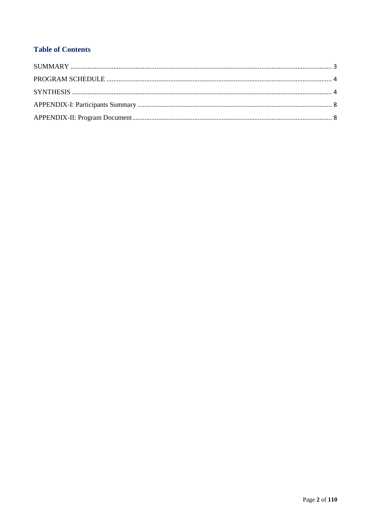# **Table of Contents**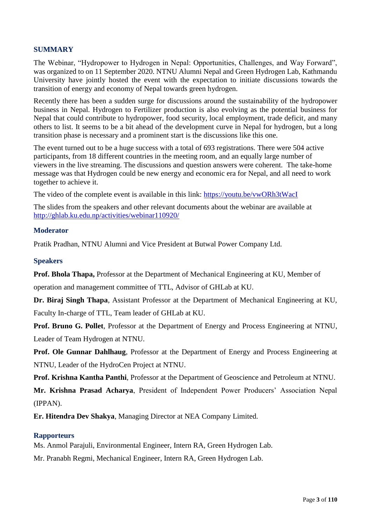### <span id="page-2-0"></span>**SUMMARY**

The Webinar, "Hydropower to Hydrogen in Nepal: Opportunities, Challenges, and Way Forward", was organized to on 11 September 2020. NTNU Alumni Nepal and Green Hydrogen Lab, Kathmandu University have jointly hosted the event with the expectation to initiate discussions towards the transition of energy and economy of Nepal towards green hydrogen.

Recently there has been a sudden surge for discussions around the sustainability of the hydropower business in Nepal. Hydrogen to Fertilizer production is also evolving as the potential business for Nepal that could contribute to hydropower, food security, local employment, trade deficit, and many others to list. It seems to be a bit ahead of the development curve in Nepal for hydrogen, but a long transition phase is necessary and a prominent start is the discussions like this one.

The event turned out to be a huge success with a total of 693 registrations. There were 504 active participants, from 18 different countries in the meeting room, and an equally large number of viewers in the live streaming. The discussions and question answers were coherent. The take-home message was that Hydrogen could be new energy and economic era for Nepal, and all need to work together to achieve it.

The video of the complete event is available in this link:<https://youtu.be/vwORh3tWacI>

The slides from the speakers and other relevant documents about the webinar are available at <http://ghlab.ku.edu.np/activities/webinar110920/>

#### **Moderator**

Pratik Pradhan, NTNU Alumni and Vice President at Butwal Power Company Ltd.

#### **Speakers**

**Prof. Bhola Thapa,** Professor at the Department of Mechanical Engineering at KU, Member of operation and management committee of TTL, Advisor of GHLab at KU.

**Dr. Biraj Singh Thapa**, Assistant Professor at the Department of Mechanical Engineering at KU, Faculty In-charge of TTL, Team leader of GHLab at KU.

**Prof. Bruno G. Pollet**, Professor at the Department of Energy and Process Engineering at NTNU, Leader of Team Hydrogen at NTNU.

**Prof. Ole Gunnar Dahlhaug**, Professor at the Department of Energy and Process Engineering at NTNU, Leader of the HydroCen Project at NTNU.

**Prof. Krishna Kantha Panthi**, Professor at the Department of Geoscience and Petroleum at NTNU.

**Mr. Krishna Prasad Acharya**, President of Independent Power Producers' Association Nepal (IPPAN).

**Er. Hitendra Dev Shakya**, Managing Director at NEA Company Limited.

#### **Rapporteurs**

Ms. Anmol Parajuli, Environmental Engineer, Intern RA, Green Hydrogen Lab.

Mr. Pranabh Regmi, Mechanical Engineer, Intern RA, Green Hydrogen Lab.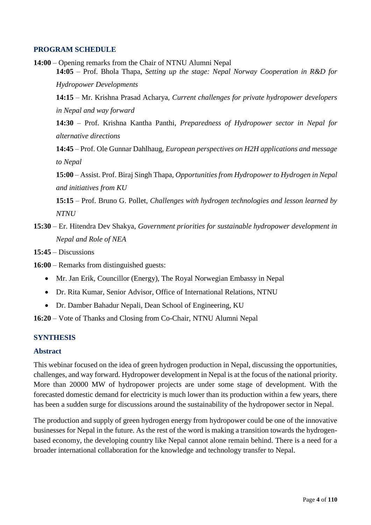### <span id="page-3-0"></span>**PROGRAM SCHEDULE**

**14:00** – Opening remarks from the Chair of NTNU Alumni Nepal **14:05** – Prof. Bhola Thapa, *Setting up the stage: Nepal Norway Cooperation in R&D for* 

*Hydropower Developments*

**14:15** – Mr. Krishna Prasad Acharya, *Current challenges for private hydropower developers in Nepal and way forward*

**14:30** – Prof. Krishna Kantha Panthi, *Preparedness of Hydropower sector in Nepal for alternative directions*

**14:45** – Prof. Ole Gunnar Dahlhaug, *European perspectives on H2H applications and message to Nepal*

**15:00** – Assist. Prof. Biraj Singh Thapa, *Opportunities from Hydropower to Hydrogen in Nepal and initiatives from KU*

**15:15** – Prof. Bruno G. Pollet, *Challenges with hydrogen technologies and lesson learned by NTNU*

**15:30** – Er. Hitendra Dev Shakya, *Government priorities for sustainable hydropower development in Nepal and Role of NEA*

**15:45** – Discussions

**16:00** – Remarks from distinguished guests:

- Mr. Jan Erik, Councillor (Energy), The Royal Norwegian Embassy in Nepal
- Dr. Rita Kumar, Senior Advisor, Office of International Relations, NTNU
- Dr. Damber Bahadur Nepali, Dean School of Engineering, KU

**16:20** – Vote of Thanks and Closing from Co-Chair, NTNU Alumni Nepal

## <span id="page-3-1"></span>**SYNTHESIS**

### **Abstract**

This webinar focused on the idea of green hydrogen production in Nepal, discussing the opportunities, challenges, and way forward. Hydropower development in Nepal is at the focus of the national priority. More than 20000 MW of hydropower projects are under some stage of development. With the forecasted domestic demand for electricity is much lower than its production within a few years, there has been a sudden surge for discussions around the sustainability of the hydropower sector in Nepal.

The production and supply of green hydrogen energy from hydropower could be one of the innovative businesses for Nepal in the future. As the rest of the word is making a transition towards the hydrogenbased economy, the developing country like Nepal cannot alone remain behind. There is a need for a broader international collaboration for the knowledge and technology transfer to Nepal.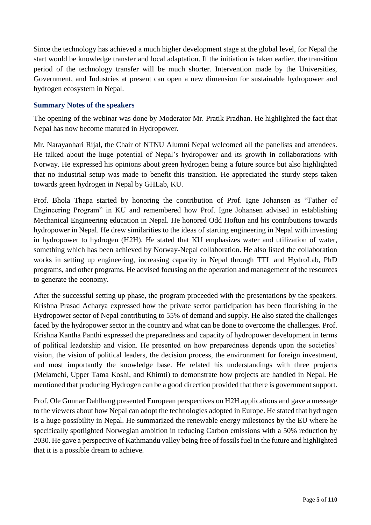Since the technology has achieved a much higher development stage at the global level, for Nepal the start would be knowledge transfer and local adaptation. If the initiation is taken earlier, the transition period of the technology transfer will be much shorter. Intervention made by the Universities, Government, and Industries at present can open a new dimension for sustainable hydropower and hydrogen ecosystem in Nepal.

## **Summary Notes of the speakers**

The opening of the webinar was done by Moderator Mr. Pratik Pradhan. He highlighted the fact that Nepal has now become matured in Hydropower.

Mr. Narayanhari Rijal, the Chair of NTNU Alumni Nepal welcomed all the panelists and attendees. He talked about the huge potential of Nepal's hydropower and its growth in collaborations with Norway. He expressed his opinions about green hydrogen being a future source but also highlighted that no industrial setup was made to benefit this transition. He appreciated the sturdy steps taken towards green hydrogen in Nepal by GHLab, KU.

Prof. Bhola Thapa started by honoring the contribution of Prof. Igne Johansen as "Father of Engineering Program" in KU and remembered how Prof. Igne Johansen advised in establishing Mechanical Engineering education in Nepal. He honored Odd Hoftun and his contributions towards hydropower in Nepal. He drew similarities to the ideas of starting engineering in Nepal with investing in hydropower to hydrogen (H2H). He stated that KU emphasizes water and utilization of water, something which has been achieved by Norway-Nepal collaboration. He also listed the collaboration works in setting up engineering, increasing capacity in Nepal through TTL and HydroLab, PhD programs, and other programs. He advised focusing on the operation and management of the resources to generate the economy.

After the successful setting up phase, the program proceeded with the presentations by the speakers. Krishna Prasad Acharya expressed how the private sector participation has been flourishing in the Hydropower sector of Nepal contributing to 55% of demand and supply. He also stated the challenges faced by the hydropower sector in the country and what can be done to overcome the challenges. Prof. Krishna Kantha Panthi expressed the preparedness and capacity of hydropower development in terms of political leadership and vision. He presented on how preparedness depends upon the societies' vision, the vision of political leaders, the decision process, the environment for foreign investment, and most importantly the knowledge base. He related his understandings with three projects (Melamchi, Upper Tama Koshi, and Khimti) to demonstrate how projects are handled in Nepal. He mentioned that producing Hydrogen can be a good direction provided that there is government support.

Prof. Ole Gunnar Dahlhaug presented European perspectives on H2H applications and gave a message to the viewers about how Nepal can adopt the technologies adopted in Europe. He stated that hydrogen is a huge possibility in Nepal. He summarized the renewable energy milestones by the EU where he specifically spotlighted Norwegian ambition in reducing Carbon emissions with a 50% reduction by 2030. He gave a perspective of Kathmandu valley being free of fossils fuel in the future and highlighted that it is a possible dream to achieve.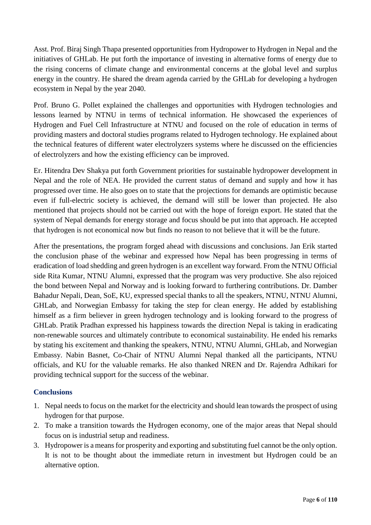Asst. Prof. Biraj Singh Thapa presented opportunities from Hydropower to Hydrogen in Nepal and the initiatives of GHLab. He put forth the importance of investing in alternative forms of energy due to the rising concerns of climate change and environmental concerns at the global level and surplus energy in the country. He shared the dream agenda carried by the GHLab for developing a hydrogen ecosystem in Nepal by the year 2040.

Prof. Bruno G. Pollet explained the challenges and opportunities with Hydrogen technologies and lessons learned by NTNU in terms of technical information. He showcased the experiences of Hydrogen and Fuel Cell Infrastructure at NTNU and focused on the role of education in terms of providing masters and doctoral studies programs related to Hydrogen technology. He explained about the technical features of different water electrolyzers systems where he discussed on the efficiencies of electrolyzers and how the existing efficiency can be improved.

Er. Hitendra Dev Shakya put forth Government priorities for sustainable hydropower development in Nepal and the role of NEA. He provided the current status of demand and supply and how it has progressed over time. He also goes on to state that the projections for demands are optimistic because even if full-electric society is achieved, the demand will still be lower than projected. He also mentioned that projects should not be carried out with the hope of foreign export. He stated that the system of Nepal demands for energy storage and focus should be put into that approach. He accepted that hydrogen is not economical now but finds no reason to not believe that it will be the future.

After the presentations, the program forged ahead with discussions and conclusions. Jan Erik started the conclusion phase of the webinar and expressed how Nepal has been progressing in terms of eradication of load shedding and green hydrogen is an excellent way forward. From the NTNU Official side Rita Kumar, NTNU Alumni, expressed that the program was very productive. She also rejoiced the bond between Nepal and Norway and is looking forward to furthering contributions. Dr. Damber Bahadur Nepali, Dean, SoE, KU, expressed special thanks to all the speakers, NTNU, NTNU Alumni, GHLab, and Norwegian Embassy for taking the step for clean energy. He added by establishing himself as a firm believer in green hydrogen technology and is looking forward to the progress of GHLab. Pratik Pradhan expressed his happiness towards the direction Nepal is taking in eradicating non-renewable sources and ultimately contribute to economical sustainability. He ended his remarks by stating his excitement and thanking the speakers, NTNU, NTNU Alumni, GHLab, and Norwegian Embassy. Nabin Basnet, Co-Chair of NTNU Alumni Nepal thanked all the participants, NTNU officials, and KU for the valuable remarks. He also thanked NREN and Dr. Rajendra Adhikari for providing technical support for the success of the webinar.

# **Conclusions**

- 1. Nepal needs to focus on the market for the electricity and should lean towards the prospect of using hydrogen for that purpose.
- 2. To make a transition towards the Hydrogen economy, one of the major areas that Nepal should focus on is industrial setup and readiness.
- 3. Hydropower is a means for prosperity and exporting and substituting fuel cannot be the only option. It is not to be thought about the immediate return in investment but Hydrogen could be an alternative option.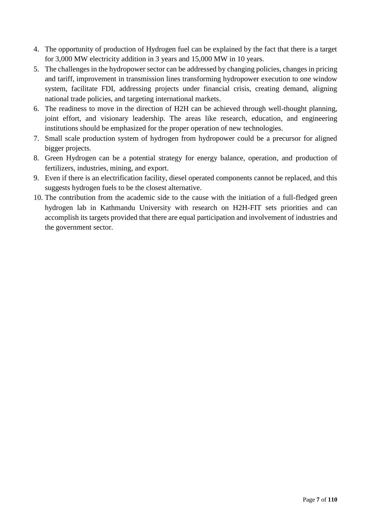- 4. The opportunity of production of Hydrogen fuel can be explained by the fact that there is a target for 3,000 MW electricity addition in 3 years and 15,000 MW in 10 years.
- 5. The challenges in the hydropower sector can be addressed by changing policies, changes in pricing and tariff, improvement in transmission lines transforming hydropower execution to one window system, facilitate FDI, addressing projects under financial crisis, creating demand, aligning national trade policies, and targeting international markets.
- 6. The readiness to move in the direction of H2H can be achieved through well-thought planning, joint effort, and visionary leadership. The areas like research, education, and engineering institutions should be emphasized for the proper operation of new technologies.
- 7. Small scale production system of hydrogen from hydropower could be a precursor for aligned bigger projects.
- 8. Green Hydrogen can be a potential strategy for energy balance, operation, and production of fertilizers, industries, mining, and export.
- 9. Even if there is an electrification facility, diesel operated components cannot be replaced, and this suggests hydrogen fuels to be the closest alternative.
- 10. The contribution from the academic side to the cause with the initiation of a full-fledged green hydrogen lab in Kathmandu University with research on H2H-FIT sets priorities and can accomplish its targets provided that there are equal participation and involvement of industries and the government sector.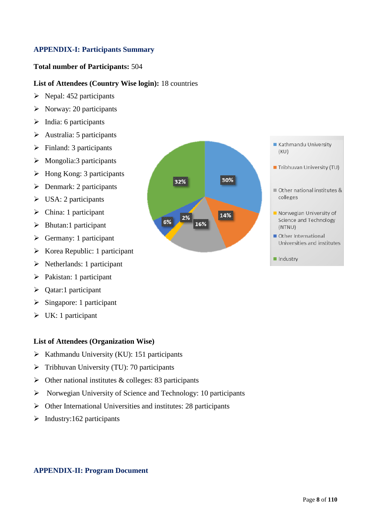## <span id="page-7-0"></span>**APPENDIX-I: Participants Summary**

#### **Total number of Participants:** 504

#### **List of Attendees (Country Wise login):** 18 countries

- $\triangleright$  Nepal: 452 participants
- $\triangleright$  Norway: 20 participants
- $\triangleright$  India: 6 participants
- $\triangleright$  Australia: 5 participants
- $\triangleright$  Finland: 3 participants
- $\triangleright$  Mongolia: 3 participants
- $\triangleright$  Hong Kong: 3 participants
- $\triangleright$  Denmark: 2 participants
- $\triangleright$  USA: 2 participants
- $\triangleright$  China: 1 participant
- $\triangleright$  Bhutan:1 participant
- $\triangleright$  Germany: 1 participant
- $\triangleright$  Korea Republic: 1 participant
- $\triangleright$  Netherlands: 1 participant
- > Pakistan: 1 participant
- $\triangleright$  Qatar:1 participant
- $\triangleright$  Singapore: 1 participant
- $\triangleright$  UK: 1 participant

### **List of Attendees (Organization Wise)**

- $\triangleright$  Kathmandu University (KU): 151 participants
- $\triangleright$  Tribhuvan University (TU): 70 participants
- $\triangleright$  Other national institutes & colleges: 83 participants
- $\triangleright$  Norwegian University of Science and Technology: 10 participants
- $\triangleright$  Other International Universities and institutes: 28 participants
- $\triangleright$  Industry:162 participants





- Tribhuvan University (TU)
- Other national institutes & colleges
- Norwegian University of Science and Technology (NTNU)
- Other International Universities and institutes
- $\blacksquare$  Industry

#### <span id="page-7-1"></span>**APPENDIX-II: Program Document**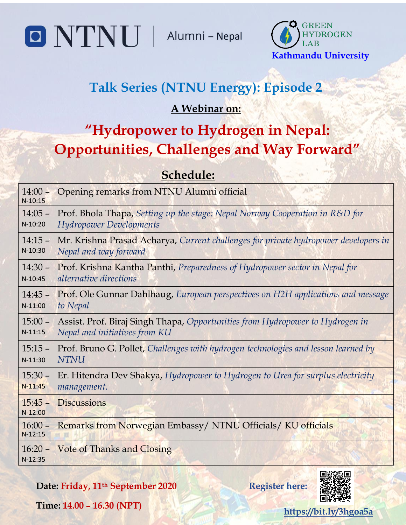Alumni - Nepal



# **Talk Series (NTNU Energy): Episode 2**

# **A Webinar on:**

# **"Hydropower to Hydrogen in Nepal: Opportunities, Challenges and Way Forward"**

# **Schedule:**

| $14:00 -$<br>$N-10:15$ | Opening remarks from NTNU Alumni official                                           |
|------------------------|-------------------------------------------------------------------------------------|
| $14:05 -$              | Prof. Bhola Thapa, Setting up the stage: Nepal Norway Cooperation in R&D for        |
| $N-10:20$              | <b>Hydropower Developments</b>                                                      |
| $14:15 -$              | Mr. Krishna Prasad Acharya, Current challenges for private hydropower developers in |
| N-10:30                | Nepal and way forward                                                               |
| $14:30 -$              | Prof. Krishna Kantha Panthi, Preparedness of Hydropower sector in Nepal for         |
| $N-10:45$              | alternative directions                                                              |
| $14:45 -$              | Prof. Ole Gunnar Dahlhaug, European perspectives on H2H applications and message    |
| $N-11:00$              | to Nepal                                                                            |
| $15:00 -$              | Assist. Prof. Biraj Singh Thapa, Opportunities from Hydropower to Hydrogen in       |
| $N-11:15$              | Nepal and initiatives from KU                                                       |
| $15:15 -$              | Prof. Bruno G. Pollet, Challenges with hydrogen technologies and lesson learned by  |
| $N-11:30$              | <b>NTNU</b>                                                                         |
| $15:30 -$              | Er. Hitendra Dev Shakya, Hydropower to Hydrogen to Urea for surplus electricity     |
| $N-11:45$              | management.                                                                         |
| $15:45-$<br>$N-12:00$  | <b>Discussions</b>                                                                  |
| $16:00 -$<br>$N-12:15$ | Remarks from Norwegian Embassy/ NTNU Officials/ KU officials                        |
| $16:20 -$<br>$N-12:35$ | <b>Vote of Thanks and Closing</b>                                                   |

**Date: Friday, 11th September 2020**



**Register here:**

**Time: 14.00 – 16.30 (NPT)**

O NTNU

**<https://bit.ly/3hgoa5a>**